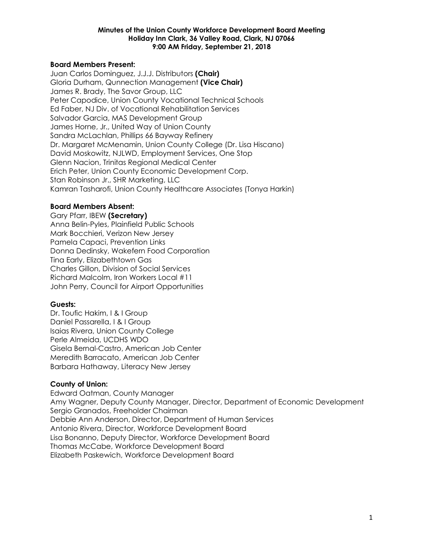## **Board Members Present:**

Juan Carlos Dominguez, J.J.J. Distributors **(Chair)** Gloria Durham, Qunnection Management **(Vice Chair)** James R. Brady, The Savor Group, LLC Peter Capodice, Union County Vocational Technical Schools Ed Faber, NJ Div. of Vocational Rehabilitation Services Salvador Garcia, MAS Development Group James Horne, Jr., United Way of Union County Sandra McLachlan, Phillips 66 Bayway Refinery Dr. Margaret McMenamin, Union County College (Dr. Lisa Hiscano) David Moskowitz, NJLWD, Employment Services, One Stop Glenn Nacion, Trinitas Regional Medical Center Erich Peter, Union County Economic Development Corp. Stan Robinson Jr., SHR Marketing, LLC Kamran Tasharofi, Union County Healthcare Associates (Tonya Harkin)

### **Board Members Absent:**

Gary Pfarr, IBEW **(Secretary)** Anna Belin-Pyles, Plainfield Public Schools Mark Bocchieri, Verizon New Jersey Pamela Capaci, Prevention Links Donna Dedinsky, Wakefern Food Corporation Tina Early, Elizabethtown Gas Charles Gillon, Division of Social Services Richard Malcolm, Iron Workers Local #11 John Perry, Council for Airport Opportunities

### **Guests:**

Dr. Toufic Hakim, I & I Group Daniel Passarella, I & I Group Isaias Rivera, Union County College Perle Almeida, UCDHS WDO Gisela Bernal-Castro, American Job Center Meredith Barracato, American Job Center Barbara Hathaway, Literacy New Jersey

## **County of Union:**

Edward Oatman, County Manager Amy Wagner, Deputy County Manager, Director, Department of Economic Development Sergio Granados, Freeholder Chairman Debbie Ann Anderson, Director, Department of Human Services Antonio Rivera, Director, Workforce Development Board Lisa Bonanno, Deputy Director, Workforce Development Board Thomas McCabe, Workforce Development Board Elizabeth Paskewich, Workforce Development Board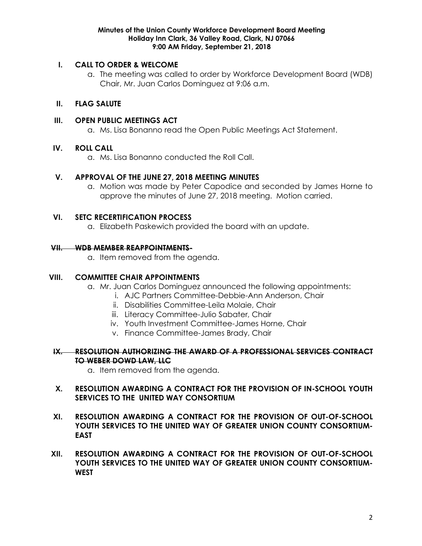## **I. CALL TO ORDER & WELCOME**

a. The meeting was called to order by Workforce Development Board (WDB) Chair, Mr. Juan Carlos Dominguez at 9:06 a.m.

# **II. FLAG SALUTE**

## **III. OPEN PUBLIC MEETINGS ACT**

a. Ms. Lisa Bonanno read the Open Public Meetings Act Statement.

## **IV. ROLL CALL**

a. Ms. Lisa Bonanno conducted the Roll Call.

### **V. APPROVAL OF THE JUNE 27, 2018 MEETING MINUTES**

a. Motion was made by Peter Capodice and seconded by James Horne to approve the minutes of June 27, 2018 meeting. Motion carried.

### **VI. SETC RECERTIFICATION PROCESS**

a. Elizabeth Paskewich provided the board with an update.

### **VII. WDB MEMBER REAPPOINTMENTS-**

a. Item removed from the agenda.

## **VIII. COMMITTEE CHAIR APPOINTMENTS**

- a. Mr. Juan Carlos Dominguez announced the following appointments:
	- i. AJC Partners Committee-Debbie-Ann Anderson, Chair
	- ii. Disabilities Committee-Leila Molaie, Chair
	- iii. Literacy Committee-Julio Sabater, Chair
	- iv. Youth Investment Committee-James Horne, Chair
	- v. Finance Committee-James Brady, Chair

## **IX. RESOLUTION AUTHORIZING THE AWARD OF A PROFESSIONAL SERVICES CONTRACT TO WEBER DOWD LAW, LLC**

a. Item removed from the agenda.

## **X. RESOLUTION AWARDING A CONTRACT FOR THE PROVISION OF IN-SCHOOL YOUTH SERVICES TO THE UNITED WAY CONSORTIUM**

- **XI. RESOLUTION AWARDING A CONTRACT FOR THE PROVISION OF OUT-OF-SCHOOL YOUTH SERVICES TO THE UNITED WAY OF GREATER UNION COUNTY CONSORTIUM-EAST**
- **XII. RESOLUTION AWARDING A CONTRACT FOR THE PROVISION OF OUT-OF-SCHOOL YOUTH SERVICES TO THE UNITED WAY OF GREATER UNION COUNTY CONSORTIUM-WEST**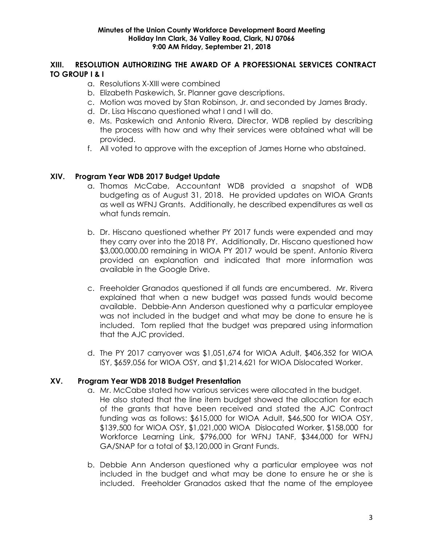# **XIII. RESOLUTION AUTHORIZING THE AWARD OF A PROFESSIONAL SERVICES CONTRACT TO GROUP I & I**

- a. Resolutions X-XIII were combined
- b. Elizabeth Paskewich, Sr. Planner gave descriptions.
- c. Motion was moved by Stan Robinson, Jr. and seconded by James Brady.
- d. Dr. Lisa Hiscano questioned what I and I will do.
- e. Ms. Paskewich and Antonio Rivera, Director, WDB replied by describing the process with how and why their services were obtained what will be provided.
- f. All voted to approve with the exception of James Horne who abstained.

# **XIV. Program Year WDB 2017 Budget Update**

- a. Thomas McCabe, Accountant WDB provided a snapshot of WDB budgeting as of August 31, 2018. He provided updates on WIOA Grants as well as WFNJ Grants. Additionally, he described expenditures as well as what funds remain.
- b. Dr. Hiscano questioned whether PY 2017 funds were expended and may they carry over into the 2018 PY. Additionally, Dr. Hiscano questioned how \$3,000,000.00 remaining in WIOA PY 2017 would be spent. Antonio Rivera provided an explanation and indicated that more information was available in the Google Drive.
- c. Freeholder Granados questioned if all funds are encumbered. Mr. Rivera explained that when a new budget was passed funds would become available. Debbie-Ann Anderson questioned why a particular employee was not included in the budget and what may be done to ensure he is included. Tom replied that the budget was prepared using information that the AJC provided.
- d. The PY 2017 carryover was \$1,051,674 for WIOA Adult, \$406,352 for WIOA ISY, \$659,056 for WIOA OSY, and \$1,214,621 for WIOA Dislocated Worker.

## **XV. Program Year WDB 2018 Budget Presentation**

- a. Mr. McCabe stated how various services were allocated in the budget. He also stated that the line item budget showed the allocation for each of the grants that have been received and stated the AJC Contract funding was as follows: \$615,000 for WIOA Adult, \$46,500 for WIOA OSY, \$139,500 for WIOA OSY, \$1,021,000 WIOA Dislocated Worker, \$158,000 for Workforce Learning Link, \$796,000 for WFNJ TANF, \$344,000 for WFNJ GA/SNAP for a total of \$3,120,000 in Grant Funds.
- b. Debbie Ann Anderson questioned why a particular employee was not included in the budget and what may be done to ensure he or she is included. Freeholder Granados asked that the name of the employee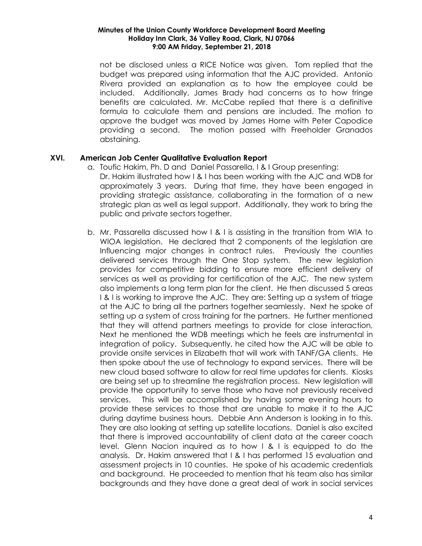not be disclosed unless a RICE Notice was given. Tom replied that the budget was prepared using information that the AJC provided. Antonio Rivera provided an explanation as to how the employee could be included. Additionally, James Brady had concerns as to how fringe benefits are calculated. Mr. McCabe replied that there is a definitive formula to calculate them and pensions are included. The motion to approve the budget was moved by James Horne with Peter Capodice providing a second. The motion passed with Freeholder Granados abstaining.

## **XVI. American Job Center Qualitative Evaluation Report**

- a. Toufic Hakim, Ph. D and Daniel Passarella, I & I Group presenting: Dr. Hakim illustrated how I & I has been working with the AJC and WDB for approximately 3 years. During that time, they have been engaged in providing strategic assistance, collaborating in the formation of a new strategic plan as well as legal support. Additionally, they work to bring the public and private sectors together.
- b. Mr. Passarella discussed how I & I is assisting in the transition from WIA to WIOA legislation. He declared that 2 components of the legislation are Influencing major changes in contract rules. Previously the counties delivered services through the One Stop system. The new legislation provides for competitive bidding to ensure more efficient delivery of services as well as providing for certification of the AJC. The new system also implements a long term plan for the client. He then discussed 5 areas I & I is working to improve the AJC. They are: Setting up a system of triage at the AJC to bring all the partners together seamlessly. Next he spoke of setting up a system of cross training for the partners. He further mentioned that they will attend partners meetings to provide for close interaction, Next he mentioned the WDB meetings which he feels are instrumental in integration of policy. Subsequently, he cited how the AJC will be able to provide onsite services in Elizabeth that will work with TANF/GA clients. He then spoke about the use of technology to expand services. There will be new cloud based software to allow for real time updates for clients. Kiosks are being set up to streamline the registration process. New legislation will provide the opportunity to serve those who have not previously received services. This will be accomplished by having some evening hours to provide these services to those that are unable to make it to the AJC during daytime business hours. Debbie Ann Anderson is looking in to this. They are also looking at setting up satellite locations. Daniel is also excited that there is improved accountability of client data at the career coach level. Glenn Nacion inquired as to how I & I is equipped to do the analysis. Dr. Hakim answered that I & I has performed 15 evaluation and assessment projects in 10 counties. He spoke of his academic credentials and background. He proceeded to mention that his team also has similar backgrounds and they have done a great deal of work in social services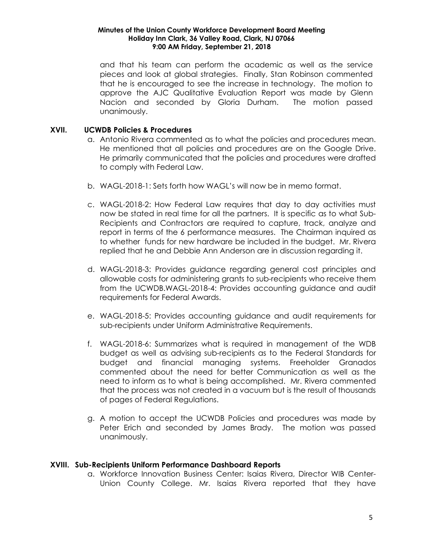and that his team can perform the academic as well as the service pieces and look at global strategies. Finally, Stan Robinson commented that he is encouraged to see the increase in technology. The motion to approve the AJC Qualitative Evaluation Report was made by Glenn Nacion and seconded by Gloria Durham. The motion passed unanimously.

## **XVII. UCWDB Policies & Procedures**

- a. Antonio Rivera commented as to what the policies and procedures mean. He mentioned that all policies and procedures are on the Google Drive. He primarily communicated that the policies and procedures were drafted to comply with Federal Law.
- b. WAGL-2018-1: Sets forth how WAGL's will now be in memo format.
- c. WAGL-2018-2: How Federal Law requires that day to day activities must now be stated in real time for all the partners. It is specific as to what Sub-Recipients and Contractors are required to capture, track, analyze and report in terms of the 6 performance measures. The Chairman inquired as to whether funds for new hardware be included in the budget. Mr. Rivera replied that he and Debbie Ann Anderson are in discussion regarding it.
- d. WAGL-2018-3: Provides guidance regarding general cost principles and allowable costs for administering grants to sub-recipients who receive them from the UCWDB.WAGL-2018-4: Provides accounting guidance and audit requirements for Federal Awards.
- e. WAGL-2018-5: Provides accounting guidance and audit requirements for sub-recipients under Uniform Administrative Requirements.
- f. WAGL-2018-6: Summarizes what is required in management of the WDB budget as well as advising sub-recipients as to the Federal Standards for budget and financial managing systems. Freeholder Granados commented about the need for better Communication as well as the need to inform as to what is being accomplished. Mr. Rivera commented that the process was not created in a vacuum but is the result of thousands of pages of Federal Regulations.
- g. A motion to accept the UCWDB Policies and procedures was made by Peter Erich and seconded by James Brady. The motion was passed unanimously.

## **XVIII. Sub-Recipients Uniform Performance Dashboard Reports**

a. Workforce Innovation Business Center: Isaias Rivera, Director WIB Center-Union County College. Mr. Isaias Rivera reported that they have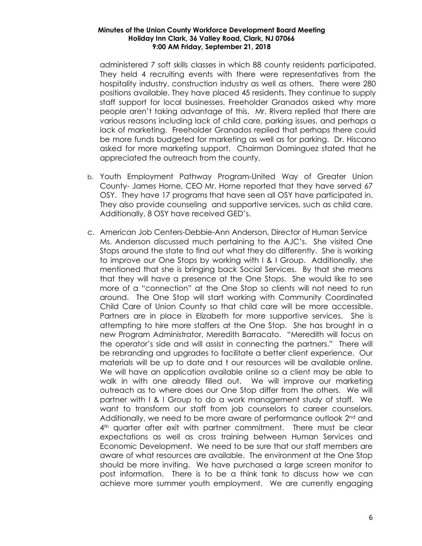administered 7 soft skills classes in which 88 county residents participated. They held 4 recruiting events with there were representatives from the hospitality industry, construction industry as well as others. There were 280 positions available. They have placed 45 residents. They continue to supply staff support for local businesses. Freeholder Granados asked why more people aren't taking advantage of this. Mr. Rivera replied that there are various reasons including lack of child care, parking issues, and perhaps a lack of marketing. Freeholder Granados replied that perhaps there could be more funds budgeted for marketing as well as for parking. Dr. Hiscano asked for more marketing support. Chairman Dominguez stated that he appreciated the outreach from the county.

- b. Youth Employment Pathway Program-United Way of Greater Union County- James Horne, CEO Mr. Horne reported that they have served 67 OSY. They have 17 programs that have seen all OSY have participated in. They also provide counseling and supportive services, such as child care. Additionally, 8 OSY have received GED's.
- c. American Job Centers-Debbie-Ann Anderson, Director of Human Service Ms. Anderson discussed much pertaining to the AJC's. She visited One Stops around the state to find out what they do differently. She is working to improve our One Stops by working with I & I Group. Additionally, she mentioned that she is bringing back Social Services. By that she means that they will have a presence at the One Stops. She would like to see more of a "connection" at the One Stop so clients will not need to run around. The One Stop will start working with Community Coordinated Child Care of Union County so that child care will be more accessible. Partners are in place in Elizabeth for more supportive services. She is attempting to hire more staffers at the One Stop. She has brought in a new Program Administrator, Meredith Barracato. "Meredith will focus on the operator's side and will assist in connecting the partners." There will be rebranding and upgrades to facilitate a better client experience. Our materials will be up to date and t our resources will be available online. We will have an application available online so a client may be able to walk in with one already filled out. We will improve our marketing outreach as to where does our One Stop differ from the others. We will partner with I & I Group to do a work management study of staff. We want to transform our staff from job counselors to career counselors. Additionally, we need to be more aware of performance outlook  $2<sup>nd</sup>$  and 4<sup>th</sup> quarter after exit with partner commitment. There must be clear expectations as well as cross training between Human Services and Economic Development. We need to be sure that our staff members are aware of what resources are available. The environment at the One Stop should be more inviting. We have purchased a large screen monitor to post information. There is to be a think tank to discuss how we can achieve more summer youth employment. We are currently engaging